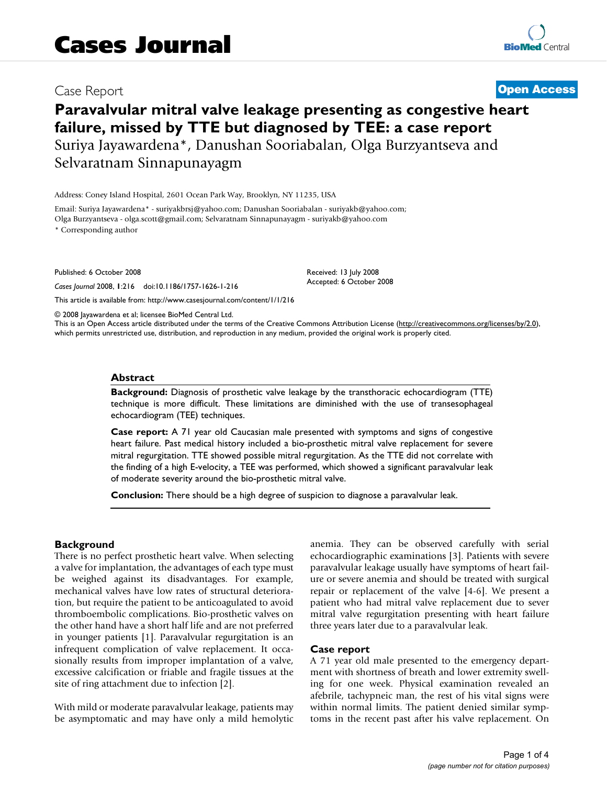# Case Report **[Open Access](http://www.biomedcentral.com/info/about/charter/)**

# **Paravalvular mitral valve leakage presenting as congestive heart failure, missed by TTE but diagnosed by TEE: a case report** Suriya Jayawardena\*, Danushan Sooriabalan, Olga Burzyantseva and Selvaratnam Sinnapunayagm

Address: Coney Island Hospital, 2601 Ocean Park Way, Brooklyn, NY 11235, USA

Email: Suriya Jayawardena\* - suriyakbrsj@yahoo.com; Danushan Sooriabalan - suriyakb@yahoo.com; Olga Burzyantseva - olga.scott@gmail.com; Selvaratnam Sinnapunayagm - suriyakb@yahoo.com

\* Corresponding author

Published: 6 October 2008

*Cases Journal* 2008, **1**:216 doi:10.1186/1757-1626-1-216

[This article is available from: http://www.casesjournal.com/content/1/1/216](http://www.casesjournal.com/content/1/1/216)

© 2008 Jayawardena et al; licensee BioMed Central Ltd.

This is an Open Access article distributed under the terms of the Creative Commons Attribution License [\(http://creativecommons.org/licenses/by/2.0\)](http://creativecommons.org/licenses/by/2.0), which permits unrestricted use, distribution, and reproduction in any medium, provided the original work is properly cited.

Received: 13 July 2008 Accepted: 6 October 2008

### **Abstract**

**Background:** Diagnosis of prosthetic valve leakage by the transthoracic echocardiogram (TTE) technique is more difficult. These limitations are diminished with the use of transesophageal echocardiogram (TEE) techniques.

**Case report:** A 71 year old Caucasian male presented with symptoms and signs of congestive heart failure. Past medical history included a bio-prosthetic mitral valve replacement for severe mitral regurgitation. TTE showed possible mitral regurgitation. As the TTE did not correlate with the finding of a high E-velocity, a TEE was performed, which showed a significant paravalvular leak of moderate severity around the bio-prosthetic mitral valve.

**Conclusion:** There should be a high degree of suspicion to diagnose a paravalvular leak.

# **Background**

There is no perfect prosthetic heart valve. When selecting a valve for implantation, the advantages of each type must be weighed against its disadvantages. For example, mechanical valves have low rates of structural deterioration, but require the patient to be anticoagulated to avoid thromboembolic complications. Bio-prosthetic valves on the other hand have a short half life and are not preferred in younger patients [1]. Paravalvular regurgitation is an infrequent complication of valve replacement. It occasionally results from improper implantation of a valve, excessive calcification or friable and fragile tissues at the site of ring attachment due to infection [2].

With mild or moderate paravalvular leakage, patients may be asymptomatic and may have only a mild hemolytic anemia. They can be observed carefully with serial echocardiographic examinations [3]. Patients with severe paravalvular leakage usually have symptoms of heart failure or severe anemia and should be treated with surgical repair or replacement of the valve [4-6]. We present a patient who had mitral valve replacement due to sever mitral valve regurgitation presenting with heart failure three years later due to a paravalvular leak.

### **Case report**

A 71 year old male presented to the emergency department with shortness of breath and lower extremity swelling for one week. Physical examination revealed an afebrile, tachypneic man, the rest of his vital signs were within normal limits. The patient denied similar symptoms in the recent past after his valve replacement. On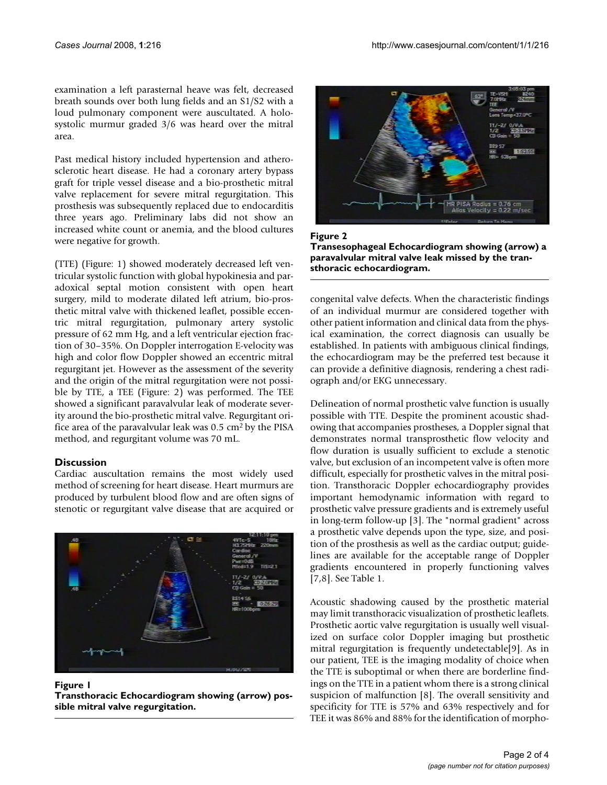examination a left parasternal heave was felt, decreased breath sounds over both lung fields and an S1/S2 with a loud pulmonary component were auscultated. A holosystolic murmur graded 3/6 was heard over the mitral area.

Past medical history included hypertension and atherosclerotic heart disease. He had a coronary artery bypass graft for triple vessel disease and a bio-prosthetic mitral valve replacement for severe mitral regurgitation. This prosthesis was subsequently replaced due to endocarditis three years ago. Preliminary labs did not show an increased white count or anemia, and the blood cultures were negative for growth.

(TTE) (Figure: 1) showed moderately decreased left ventricular systolic function with global hypokinesia and paradoxical septal motion consistent with open heart surgery, mild to moderate dilated left atrium, bio-prosthetic mitral valve with thickened leaflet, possible eccentric mitral regurgitation, pulmonary artery systolic pressure of 62 mm Hg, and a left ventricular ejection fraction of 30–35%. On Doppler interrogation E-velocity was high and color flow Doppler showed an eccentric mitral regurgitant jet. However as the assessment of the severity and the origin of the mitral regurgitation were not possible by TTE, a TEE (Figure: 2) was performed. The TEE showed a significant paravalvular leak of moderate severity around the bio-prosthetic mitral valve. Regurgitant orifice area of the paravalvular leak was 0.5 cm2 by the PISA method, and regurgitant volume was 70 mL.

# **Discussion**

Cardiac auscultation remains the most widely used method of screening for heart disease. Heart murmurs are produced by turbulent blood flow and are often signs of stenotic or regurgitant valve disease that are acquired or



# Figure 1

**Transthoracic Echocardiogram showing (arrow) possible mitral valve regurgitation.**



Figure 2 **Transesophageal Echocardiogram showing (arrow) a paravalvular mitral valve leak missed by the transthoracic echocardiogram.**

congenital valve defects. When the characteristic findings of an individual murmur are considered together with other patient information and clinical data from the physical examination, the correct diagnosis can usually be established. In patients with ambiguous clinical findings, the echocardiogram may be the preferred test because it can provide a definitive diagnosis, rendering a chest radiograph and/or EKG unnecessary.

Delineation of normal prosthetic valve function is usually possible with TTE. Despite the prominent acoustic shadowing that accompanies prostheses, a Doppler signal that demonstrates normal transprosthetic flow velocity and flow duration is usually sufficient to exclude a stenotic valve, but exclusion of an incompetent valve is often more difficult, especially for prosthetic valves in the mitral position. Transthoracic Doppler echocardiography provides important hemodynamic information with regard to prosthetic valve pressure gradients and is extremely useful in long-term follow-up [3]. The "normal gradient" across a prosthetic valve depends upon the type, size, and position of the prosthesis as well as the cardiac output; guidelines are available for the acceptable range of Doppler gradients encountered in properly functioning valves [7,8]. See Table 1.

Acoustic shadowing caused by the prosthetic material may limit transthoracic visualization of prosthetic leaflets. Prosthetic aortic valve regurgitation is usually well visualized on surface color Doppler imaging but prosthetic mitral regurgitation is frequently undetectable[9]. As in our patient, TEE is the imaging modality of choice when the TTE is suboptimal or when there are borderline findings on the TTE in a patient whom there is a strong clinical suspicion of malfunction [8]. The overall sensitivity and specificity for TTE is 57% and 63% respectively and for TEE it was 86% and 88% for the identification of morpho-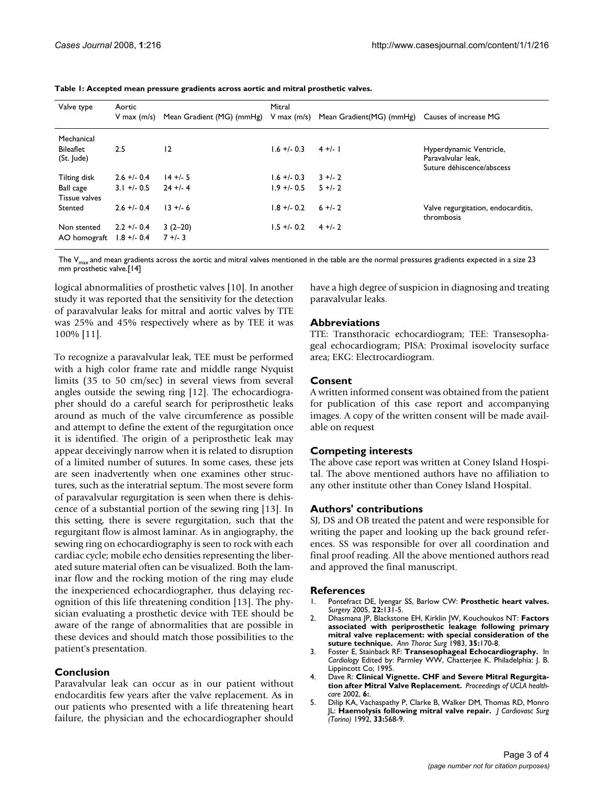| Valve type                     | Aortic        |                                                                                       | Mitral      |           |                                                                            |
|--------------------------------|---------------|---------------------------------------------------------------------------------------|-------------|-----------|----------------------------------------------------------------------------|
|                                | V max $(m/s)$ | Mean Gradient (MG) (mmHg) V max (m/s) Mean Gradient (MG) (mmHg) Causes of increase MG |             |           |                                                                            |
| Mechanical                     |               |                                                                                       |             |           |                                                                            |
| <b>Bileaflet</b><br>(St. Jude) | 2.5           | 12                                                                                    | $1.6 + 0.3$ | $4 +/- 1$ | Hyperdynamic Ventricle,<br>Paravalvular leak.<br>Suture déhiscence/abscess |
| Tilting disk                   | $2.6 + 0.4$   | $14 + 5$                                                                              | $1.6 + 0.3$ | $3 + 2$   |                                                                            |
| Ball cage<br>Tissue valves     | $3.1 + 0.5$   | $24 + 4$                                                                              | $1.9 + 0.5$ | $5 + 2$   |                                                                            |
| Stented                        | $2.6 + 0.4$   | $13 + 6$                                                                              | $1.8 + 0.2$ | $6 + 2$   | Valve regurgitation, endocarditis,<br>thrombosis                           |
| Non stented                    | $2.2 + 0.4$   | $3(2-20)$                                                                             | $1.5 + 0.2$ | $4 + 2$   |                                                                            |
| AO homograft                   | $1.8 + -0.4$  | $7 +/- 3$                                                                             |             |           |                                                                            |

The  $V_{\text{max}}$  and mean gradients across the aortic and mitral valves mentioned in the table are the normal pressures gradients expected in a size 23 mm prosthetic valve.[14]

logical abnormalities of prosthetic valves [10]. In another study it was reported that the sensitivity for the detection of paravalvular leaks for mitral and aortic valves by TTE was 25% and 45% respectively where as by TEE it was 100% [11].

To recognize a paravalvular leak, TEE must be performed with a high color frame rate and middle range Nyquist limits (35 to 50 cm/sec) in several views from several angles outside the sewing ring [12]. The echocardiographer should do a careful search for periprosthetic leaks around as much of the valve circumference as possible and attempt to define the extent of the regurgitation once it is identified. The origin of a periprosthetic leak may appear deceivingly narrow when it is related to disruption of a limited number of sutures. In some cases, these jets are seen inadvertently when one examines other structures, such as the interatrial septum. The most severe form of paravalvular regurgitation is seen when there is dehiscence of a substantial portion of the sewing ring [13]. In this setting, there is severe regurgitation, such that the regurgitant flow is almost laminar. As in angiography, the sewing ring on echocardiography is seen to rock with each cardiac cycle; mobile echo densities representing the liberated suture material often can be visualized. Both the laminar flow and the rocking motion of the ring may elude the inexperienced echocardiographer, thus delaying recognition of this life threatening condition [13]. The physician evaluating a prosthetic device with TEE should be aware of the range of abnormalities that are possible in these devices and should match those possibilities to the patient's presentation.

# **Conclusion**

Paravalvular leak can occur as in our patient without endocarditis few years after the valve replacement. As in our patients who presented with a life threatening heart failure, the physician and the echocardiographer should

have a high degree of suspicion in diagnosing and treating paravalvular leaks.

# **Abbreviations**

TTE: Transthoracic echocardiogram; TEE: Transesophageal echocardiogram; PISA: Proximal isovelocity surface area; EKG: Electrocardiogram.

# **Consent**

A written informed consent was obtained from the patient for publication of this case report and accompanying images. A copy of the written consent will be made available on request

# **Competing interests**

The above case report was written at Coney Island Hospital. The above mentioned authors have no affiliation to any other institute other than Coney Island Hospital.

# **Authors' contributions**

SJ, DS and OB treated the patent and were responsible for writing the paper and looking up the back ground references. SS was responsible for over all coordination and final proof reading. All the above mentioned authors read and approved the final manuscript.

### **References**

- 1. Pontefract DE, Iyengar SS, Barlow CW: **Prosthetic heart valves.** *Surgery* 2005, **22:**131-5.
- 2. Dhasmana JP, Blackstone EH, Kirklin JW, Kouchoukos NT: **[Factors](http://www.ncbi.nlm.nih.gov/entrez/query.fcgi?cmd=Retrieve&db=PubMed&dopt=Abstract&list_uids=6337570) [associated with periprosthetic leakage following primary](http://www.ncbi.nlm.nih.gov/entrez/query.fcgi?cmd=Retrieve&db=PubMed&dopt=Abstract&list_uids=6337570) mitral valve replacement: with special consideration of the [suture technique.](http://www.ncbi.nlm.nih.gov/entrez/query.fcgi?cmd=Retrieve&db=PubMed&dopt=Abstract&list_uids=6337570)** *Ann Thorac Surg* 1983, **35:**170-8.
- 3. Foster E, Stainback RF: **Transesophageal Echocardiography.** In *Cardiology* Edited by: Parmley WW, Chatterjee K. Philadelphia: J. B. Lippincott Co; 1995.
- 4. Dave R: **Clinical Vignette. CHF and Severe Mitral Regurgitation after Mitral Valve Replacement.** *Proceedings of UCLA healthcare* 2002, **6:**.
- 5. Dilip KA, Vachaspathy P, Clarke B, Walker DM, Thomas RD, Monro JL: **[Haemolysis following mitral valve repair.](http://www.ncbi.nlm.nih.gov/entrez/query.fcgi?cmd=Retrieve&db=PubMed&dopt=Abstract&list_uids=1447274)** *J Cardiovasc Surg (Torino)* 1992, **33:**568-9.